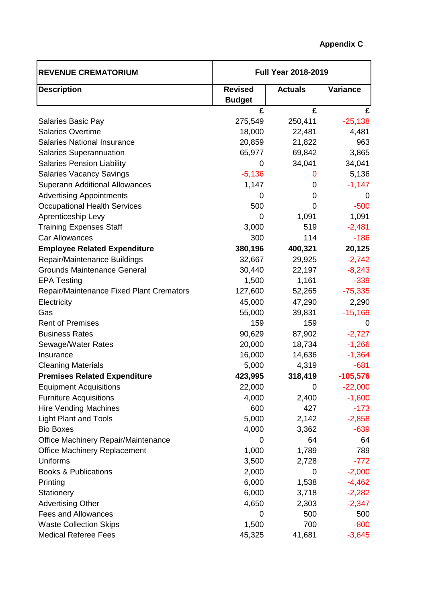| <b>REVENUE CREMATORIUM</b>                      | <b>Full Year 2018-2019</b>      |                |                 |
|-------------------------------------------------|---------------------------------|----------------|-----------------|
| <b>Description</b>                              | <b>Revised</b><br><b>Budget</b> | <b>Actuals</b> | <b>Variance</b> |
|                                                 | £                               | £              | £               |
| Salaries Basic Pay                              | 275,549                         | 250,411        | $-25,138$       |
| <b>Salaries Overtime</b>                        | 18,000                          | 22,481         | 4,481           |
| <b>Salaries National Insurance</b>              | 20,859                          | 21,822         | 963             |
| Salaries Superannuation                         | 65,977                          | 69,842         | 3,865           |
| <b>Salaries Pension Liability</b>               | 0                               | 34,041         | 34,041          |
| <b>Salaries Vacancy Savings</b>                 | $-5,136$                        | 0              | 5,136           |
| <b>Superann Additional Allowances</b>           | 1,147                           | 0              | $-1,147$        |
| <b>Advertising Appointments</b>                 | 0                               | 0              | $\mathcal{L}$   |
| <b>Occupational Health Services</b>             | 500                             | 0              | $-500$          |
| Aprenticeship Levy                              | 0                               | 1,091          | 1,091           |
| <b>Training Expenses Staff</b>                  | 3,000                           | 519            | $-2,481$        |
| <b>Car Allowances</b>                           | 300                             | 114            | $-186$          |
| <b>Employee Related Expenditure</b>             | 380,196                         | 400,321        | 20,125          |
| Repair/Maintenance Buildings                    | 32,667                          | 29,925         | $-2,742$        |
| <b>Grounds Maintenance General</b>              | 30,440                          | 22,197         | $-8,243$        |
| <b>EPA Testing</b>                              | 1,500                           | 1,161          | $-339$          |
| <b>Repair/Maintenance Fixed Plant Cremators</b> | 127,600                         | 52,265         | $-75,335$       |
| Electricity                                     | 45,000                          | 47,290         | 2,290           |
| Gas                                             | 55,000                          | 39,831         | $-15,169$       |
| <b>Rent of Premises</b>                         | 159                             | 159            | 0               |
| <b>Business Rates</b>                           | 90,629                          | 87,902         | $-2,727$        |
| Sewage/Water Rates                              | 20,000                          | 18,734         | $-1,266$        |
| Insurance                                       | 16,000                          | 14,636         | $-1,364$        |
| <b>Cleaning Materials</b>                       | 5,000                           | 4,319          | $-681$          |
| <b>Premises Related Expenditure</b>             | 423,995                         | 318,419        | $-105,576$      |
| <b>Equipment Acquisitions</b>                   | 22,000                          | 0              | $-22,000$       |
| <b>Furniture Acquisitions</b>                   | 4,000                           | 2,400          | $-1,600$        |
| <b>Hire Vending Machines</b>                    | 600                             | 427            | $-173$          |
| <b>Light Plant and Tools</b>                    | 5,000                           | 2,142          | $-2,858$        |
| <b>Bio Boxes</b>                                | 4,000                           | 3,362          | $-639$          |
| Office Machinery Repair/Maintenance             | 0                               | 64             | 64              |
| <b>Office Machinery Replacement</b>             | 1,000                           | 1,789          | 789             |
| Uniforms                                        | 3,500                           | 2,728          | $-772$          |
| <b>Books &amp; Publications</b>                 | 2,000                           | 0              | $-2,000$        |
| Printing                                        | 6,000                           | 1,538          | $-4,462$        |
| Stationery                                      | 6,000                           | 3,718          | $-2,282$        |
| <b>Advertising Other</b>                        | 4,650                           | 2,303          | $-2,347$        |
| <b>Fees and Allowances</b>                      | 0                               | 500            | 500             |
| <b>Waste Collection Skips</b>                   | 1,500                           | 700            | $-800$          |
| <b>Medical Referee Fees</b>                     | 45,325                          | 41,681         | $-3,645$        |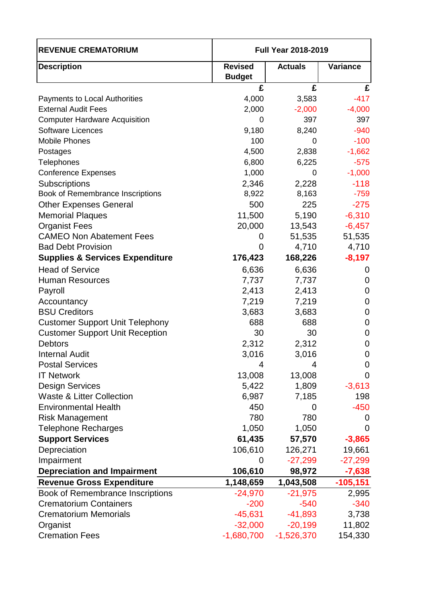| <b>REVENUE CREMATORIUM</b>                 | <b>Full Year 2018-2019</b>      |                |                 |
|--------------------------------------------|---------------------------------|----------------|-----------------|
| <b>Description</b>                         | <b>Revised</b><br><b>Budget</b> | <b>Actuals</b> | <b>Variance</b> |
|                                            | £                               | £              | £               |
| <b>Payments to Local Authorities</b>       | 4,000                           | 3,583          | $-417$          |
| <b>External Audit Fees</b>                 | 2,000                           | $-2,000$       | $-4,000$        |
| <b>Computer Hardware Acquisition</b>       | 0                               | 397            | 397             |
| <b>Software Licences</b>                   | 9,180                           | 8,240          | $-940$          |
| <b>Mobile Phones</b>                       | 100                             | 0              | $-100$          |
| Postages                                   | 4,500                           | 2,838          | $-1,662$        |
| Telephones                                 | 6,800                           | 6,225          | $-575$          |
| <b>Conference Expenses</b>                 | 1,000                           | 0              | $-1,000$        |
| Subscriptions                              | 2,346                           | 2,228          | $-118$          |
| Book of Remembrance Inscriptions           | 8,922                           | 8,163          | $-759$          |
| <b>Other Expenses General</b>              | 500                             | 225            | $-275$          |
| <b>Memorial Plaques</b>                    | 11,500                          | 5,190          | $-6,310$        |
| <b>Organist Fees</b>                       | 20,000                          | 13,543         | $-6,457$        |
| <b>CAMEO Non Abatement Fees</b>            | 0                               | 51,535         | 51,535          |
| <b>Bad Debt Provision</b>                  | 0                               | 4,710          | 4,710           |
| <b>Supplies &amp; Services Expenditure</b> | 176,423                         | 168,226        | $-8,197$        |
| <b>Head of Service</b>                     | 6,636                           | 6,636          | 0               |
| <b>Human Resources</b>                     | 7,737                           | 7,737          | 0               |
| Payroll                                    | 2,413                           | 2,413          | 0               |
| Accountancy                                | 7,219                           | 7,219          | 0               |
| <b>BSU Creditors</b>                       | 3,683                           | 3,683          | 0               |
| <b>Customer Support Unit Telephony</b>     | 688                             | 688            | $\mathbf 0$     |
| <b>Customer Support Unit Reception</b>     | 30                              | 30             | $\mathbf 0$     |
| <b>Debtors</b>                             | 2,312                           | 2,312          | $\mathbf 0$     |
| <b>Internal Audit</b>                      | 3,016                           | 3,016          | $\mathbf 0$     |
| <b>Postal Services</b>                     | 4                               | 4              | 0               |
| <b>IT Network</b>                          | 13,008                          | 13,008         | 0               |
| <b>Design Services</b>                     | 5,422                           | 1,809          | $-3,613$        |
| <b>Waste &amp; Litter Collection</b>       | 6,987                           | 7,185          | 198             |
| <b>Environmental Health</b>                | 450                             | 0              | $-450$          |
| <b>Risk Management</b>                     | 780                             | 780            | $\Omega$        |
| <b>Telephone Recharges</b>                 | 1,050                           | 1,050          | 0               |
| <b>Support Services</b>                    | 61,435                          | 57,570         | $-3,865$        |
| Depreciation                               | 106,610                         | 126,271        | 19,661          |
| Impairment                                 | 0                               | $-27,299$      | $-27,299$       |
| <b>Depreciation and Impairment</b>         | 106,610                         | 98,972         | $-7,638$        |
| <b>Revenue Gross Expenditure</b>           | 1,148,659                       | 1,043,508      | $-105,151$      |
| Book of Remembrance Inscriptions           | $-24,970$                       | $-21,975$      | 2,995           |
| <b>Crematorium Containers</b>              | $-200$                          | $-540$         | $-340$          |
| <b>Crematorium Memorials</b>               | $-45,631$                       | $-41,893$      | 3,738           |
| Organist                                   | $-32,000$                       | $-20,199$      | 11,802          |
| <b>Cremation Fees</b>                      | $-1,680,700$                    | $-1,526,370$   | 154,330         |